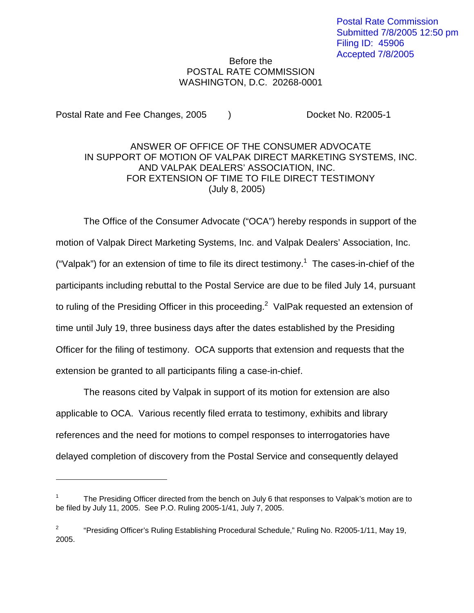## Before the POSTAL RATE COMMISSION WASHINGTON, D.C. 20268-0001

Postal Rate and Fee Changes, 2005 (a) Booket No. R2005-1

## ANSWER OF OFFICE OF THE CONSUMER ADVOCATE IN SUPPORT OF MOTION OF VALPAK DIRECT MARKETING SYSTEMS, INC. AND VALPAK DEALERS' ASSOCIATION, INC. FOR EXTENSION OF TIME TO FILE DIRECT TESTIMONY (July 8, 2005)

The Office of the Consumer Advocate ("OCA") hereby responds in support of the motion of Valpak Direct Marketing Systems, Inc. and Valpak Dealers' Association, Inc. ("Valpak") for an extension of time to file its direct testimony.<sup>1</sup> The cases-in-chief of the participants including rebuttal to the Postal Service are due to be filed July 14, pursuant to ruling of the Presiding Officer in this proceeding.<sup>2</sup> ValPak requested an extension of time until July 19, three business days after the dates established by the Presiding Officer for the filing of testimony. OCA supports that extension and requests that the extension be granted to all participants filing a case-in-chief.

The reasons cited by Valpak in support of its motion for extension are also applicable to OCA. Various recently filed errata to testimony, exhibits and library references and the need for motions to compel responses to interrogatories have delayed completion of discovery from the Postal Service and consequently delayed

<sup>1</sup> The Presiding Officer directed from the bench on July 6 that responses to Valpak's motion are to be filed by July 11, 2005. See P.O. Ruling 2005-1/41, July 7, 2005.

<sup>&</sup>lt;sup>2</sup> "Presiding Officer's Ruling Establishing Procedural Schedule," Ruling No. R2005-1/11, May 19, 2005.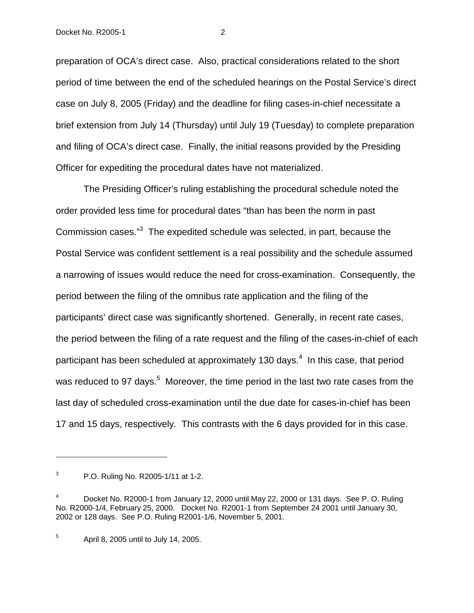preparation of OCA's direct case. Also, practical considerations related to the short period of time between the end of the scheduled hearings on the Postal Service's direct case on July 8, 2005 (Friday) and the deadline for filing cases-in-chief necessitate a brief extension from July 14 (Thursday) until July 19 (Tuesday) to complete preparation and filing of OCA's direct case. Finally, the initial reasons provided by the Presiding Officer for expediting the procedural dates have not materialized.

The Presiding Officer's ruling establishing the procedural schedule noted the order provided less time for procedural dates "than has been the norm in past Commission cases."3 The expedited schedule was selected, in part, because the Postal Service was confident settlement is a real possibility and the schedule assumed a narrowing of issues would reduce the need for cross-examination. Consequently, the period between the filing of the omnibus rate application and the filing of the participants' direct case was significantly shortened. Generally, in recent rate cases, the period between the filing of a rate request and the filing of the cases-in-chief of each participant has been scheduled at approximately 130 days.<sup>4</sup> In this case, that period was reduced to 97 days.<sup>5</sup> Moreover, the time period in the last two rate cases from the last day of scheduled cross-examination until the due date for cases-in-chief has been 17 and 15 days, respectively. This contrasts with the 6 days provided for in this case.

 $5$  April 8, 2005 until to July 14, 2005.

 $3$  P.O. Ruling No. R2005-1/11 at 1-2.

<sup>4</sup> Docket No. R2000-1 from January 12, 2000 until May 22, 2000 or 131 days. See P. O. Ruling No. R2000-1/4, February 25, 2000. Docket No. R2001-1 from September 24 2001 until January 30, 2002 or 128 days. See P.O. Ruling R2001-1/6, November 5, 2001.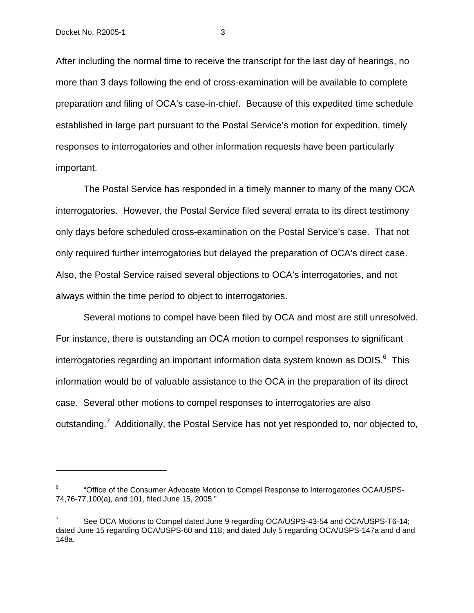After including the normal time to receive the transcript for the last day of hearings, no more than 3 days following the end of cross-examination will be available to complete preparation and filing of OCA's case-in-chief. Because of this expedited time schedule established in large part pursuant to the Postal Service's motion for expedition, timely responses to interrogatories and other information requests have been particularly important.

The Postal Service has responded in a timely manner to many of the many OCA interrogatories. However, the Postal Service filed several errata to its direct testimony only days before scheduled cross-examination on the Postal Service's case. That not only required further interrogatories but delayed the preparation of OCA's direct case. Also, the Postal Service raised several objections to OCA's interrogatories, and not always within the time period to object to interrogatories.

Several motions to compel have been filed by OCA and most are still unresolved. For instance, there is outstanding an OCA motion to compel responses to significant interrogatories regarding an important information data system known as  $DOIS<sup>6</sup>$ . This information would be of valuable assistance to the OCA in the preparation of its direct case. Several other motions to compel responses to interrogatories are also outstanding.<sup>7</sup> Additionally, the Postal Service has not yet responded to, nor objected to,

<sup>6</sup> "Office of the Consumer Advocate Motion to Compel Response to Interrogatories OCA/USPS-74,76-77,100(a), and 101, filed June 15, 2005."

See OCA Motions to Compel dated June 9 regarding OCA/USPS-43-54 and OCA/USPS-T6-14; dated June 15 regarding OCA/USPS-60 and 118; and dated July 5 regarding OCA/USPS-147a and d and 148a.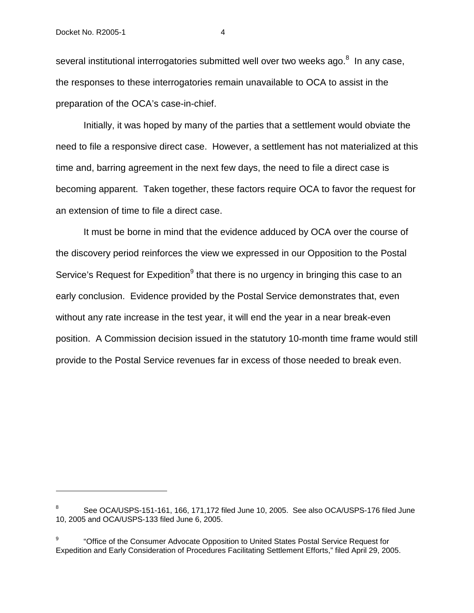several institutional interrogatories submitted well over two weeks ago.<sup>8</sup> In any case, the responses to these interrogatories remain unavailable to OCA to assist in the preparation of the OCA's case-in-chief.

Initially, it was hoped by many of the parties that a settlement would obviate the need to file a responsive direct case. However, a settlement has not materialized at this time and, barring agreement in the next few days, the need to file a direct case is becoming apparent. Taken together, these factors require OCA to favor the request for an extension of time to file a direct case.

It must be borne in mind that the evidence adduced by OCA over the course of the discovery period reinforces the view we expressed in our Opposition to the Postal Service's Request for Expedition $9$  that there is no urgency in bringing this case to an early conclusion. Evidence provided by the Postal Service demonstrates that, even without any rate increase in the test year, it will end the year in a near break-even position. A Commission decision issued in the statutory 10-month time frame would still provide to the Postal Service revenues far in excess of those needed to break even.

<sup>8</sup> See OCA/USPS-151-161, 166, 171,172 filed June 10, 2005. See also OCA/USPS-176 filed June 10, 2005 and OCA/USPS-133 filed June 6, 2005.

<sup>9</sup> "Office of the Consumer Advocate Opposition to United States Postal Service Request for Expedition and Early Consideration of Procedures Facilitating Settlement Efforts," filed April 29, 2005.